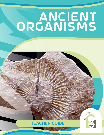# ANCIENT ORGANISMS





**ACTIVITY 1 | ANCIENT ORGANISMS | 1**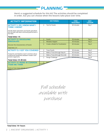**Here's a suggested schedule for this kit! The activities should be completed in order, but you can choose when the lessons take place over time.**

**PLANNING** 

| <b>ACTIVITY INFORMATION</b>                                                                                        | <b>SECTION(S)</b> |                                  | <b>TIME</b><br><b>REQUIRED</b> | DAY/<br><b>LESSON</b> |
|--------------------------------------------------------------------------------------------------------------------|-------------------|----------------------------------|--------------------------------|-----------------------|
| <b>ACTIVITY I: DO I KNOW WHAT I</b><br><b>THINK I KNOW?</b>                                                        | п                 | <b>Test for Fossils</b>          | 60 minutes                     | Day 1                 |
| Decide which specimens are fossils and which<br>are not with two tests commonly performed in<br>the field.         |                   |                                  |                                |                       |
| Total time: 1 h                                                                                                    |                   |                                  |                                |                       |
| <b>ACTIVITY 2: DISSOLVING</b><br><b>DINOSAURS</b>                                                                  | п                 | Fossils                          | 30 minutes                     | Day 2                 |
|                                                                                                                    | п                 | Mistakes Happen                  | 30 minutes                     | Day 3                 |
| Discover the characteristics of fossils!                                                                           | п                 | Create a Model for Fossilization | 60 minutes                     | Day 4                 |
| Total time: 2 h                                                                                                    |                   |                                  |                                |                       |
| <b>ACTIVITY 3: I GOT YOU COVERED</b>                                                                               | П                 | <b>Trace Fossils</b>             | 30 minutes                     | Day 5                 |
| Footprints and feathers teach scientists about<br>anatomical similarities between modern and<br>ancient organisms. | п                 | Make a Trace (through Step 4)    | 60 minutes                     | Day 6                 |
|                                                                                                                    | П                 | Make a Trace (through the end)   | 60 minutes                     | Day 7                 |
|                                                                                                                    | п                 | Design Challenge                 | $60$ minutes                   | Day 8                 |
| Total time: 3 h 30 min                                                                                             |                   |                                  |                                |                       |
| <b>ACTIVITY 4: MORE IN COMMON</b><br><b>THAN WE THINK</b>                                                          |                   | Emb                              |                                |                       |

Find out how many animals are start!

> Full schedule available with purchase

#### **Total time: 14+ hours**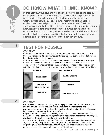# Do I Know What I Think I Know?

**In this activity, your student will put their knowledge to the test by developing criteria to describe what a fossil is then experimentally test a series of fossils and non-fossils based on these criteria. Often, a student will say they know something but is unable to explain that knowledge to others. This is often true of fossils as students can label a fossil in a picture. However, to be able to explain knowledge to another is a true test of knowing about a topic or object. Following this activity, they should understand that fossils and non-fossils do have commonalities, but also be able to ask questions**  about and/or describe the differences between the two.

# **1 TEST FOR FOSSILS**

#### **CONTENT**

• There is a series of three fossils, two rocks, and a non-fossil tooth. You can use this identification key to aide your student if they appear overly confused about the identification of a particular sample.

• We recommend you do NOT tell them what the samples are. Rather, encourage them to ask questions about the samples and come to their own conclusions.

• The order that your student labels their samples does not need to be consistent with the order in this chart or the numbering in the image in their student workbook.

| <b>FOSSILS</b> |                                  | <b>NON-FOSSILS</b> |                         |  |
|----------------|----------------------------------|--------------------|-------------------------|--|
|                | <b>Fossil Tooth</b>              |                    | <b>Red Sandstone</b>    |  |
|                | <b>Dinosaur</b><br>bone fragment |                    | Granite                 |  |
|                | <b>Horn coral</b>                |                    | <b>Non-fossil tooth</b> |  |

2

1

#### **CONTENT**

• Help develop criteria for fossils by encouraging your student to split the samples into two groups - fossils and non-fossils. Encourage your student to look for commonalities between the objects they think are fossils, and notice the differences between the samples they think are non-fossils.

• If your student has previous knowledge on fossils, ask them to describe fossils based on that knowledge, encouraging them to determine what of their knowledge is consistent with the objects they have in their "fossil" group.

• Criteria commonly associated with fossils include: an age (defined as being at least 10,000 years old), the preserved remains (an imprint or piece) of a plant or animal, originating from sedimentary rock, and having a porous structure (has small air pockets or pores; this is generally true for fossilized bone).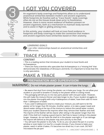# GOT YOU COVERED

**An organism's body coverings and footprints allow us to understand anatomical similarities between modern and ancient organisms. While footprints do fossilize well as "trace fossils", body coverings often do not as the tissues break down prior to fossilization. However, there is more recent evidence of feathers present on ancient organisms, both as a mechanism to maintain body warmth**  and to assist in flight or gliding among trees.

**In this activity, your student will look at trace fossil evidence in footprints and body coverings to make the connection that modern and ancient organisms have similarities based on their anatomy.**

#### *LEARNING GOALS:*

**I can infer relationships based on anatomical similarities and**  differences

## Trace Fossils

#### **CONTENT**

ivily C

11

• This is a reading section that introduces your student to trace fossils and Archaeopteryx.

• There are many scientists who speculate that Archaeopteryx is a "missing link" that demonstrates the relatedness of dinosaurs and birds. It is important to know that this is only speculative.

### Make a Trace



#### preparation and supervision

#### WARNING: Do not inhale plaster power. It can irritate the lungs.



• Be aware that dust from mixing the plaster can irritate your lungs. Do not allow your student or yourself to breathe in closely to the plaster while it is being mixed.

• The packaging will tell you to mix two parts plaster with one-part water. However, this will make the mixture thinner and take longer to dry. If your student struggles to mix the plaster thoroughly with only 4 tablespoons of water, have them add no more than 1 tablespoon of water.

• If you used 5 tablespoons total to create your mixture, you will want to let the plaster sit for longer than 90 minutes. Another option, is to take a paper towel and absorb water sitting at the top of the mixture to reduce the overall water content. Have your student observe the imprints when they remove their feather and shell. The imprint of the feather will be clearer after sitting in the plaster longer than the shell. If the shell isn't making a good imprint, feel free to leave it sitting in the plaster longer. However, do not have the shell sit in the plaster overnight or it can damage the imprint left behind as the plaster may stick and dry to the shell.

• You will want the plaster to dry fully. To do so, you can place the pan in a sunny window or even bake it on low for a couple minutes. If you choose to bake your plaster, watch it while it bakes. If it becomes too dried out, it can crack. DO NOT microwave the pie pan!